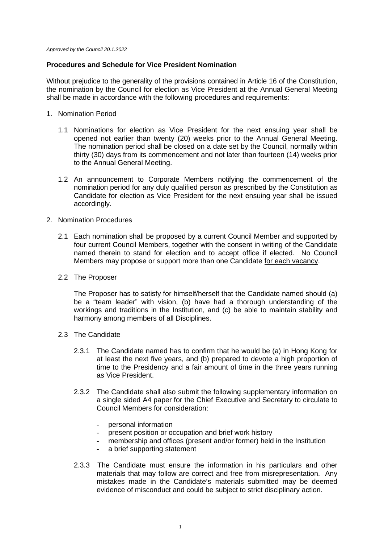*Approved by the Council 20.1.2022*

## **Procedures and Schedule for Vice President Nomination**

Without prejudice to the generality of the provisions contained in Article 16 of the Constitution, the nomination by the Council for election as Vice President at the Annual General Meeting shall be made in accordance with the following procedures and requirements:

- 1. Nomination Period
	- 1.1 Nominations for election as Vice President for the next ensuing year shall be opened not earlier than twenty (20) weeks prior to the Annual General Meeting. The nomination period shall be closed on a date set by the Council, normally within thirty (30) days from its commencement and not later than fourteen (14) weeks prior to the Annual General Meeting.
	- 1.2 An announcement to Corporate Members notifying the commencement of the nomination period for any duly qualified person as prescribed by the Constitution as Candidate for election as Vice President for the next ensuing year shall be issued accordingly.
- 2. Nomination Procedures
	- 2.1 Each nomination shall be proposed by a current Council Member and supported by four current Council Members, together with the consent in writing of the Candidate named therein to stand for election and to accept office if elected. No Council Members may propose or support more than one Candidate for each vacancy.
	- 2.2 The Proposer

The Proposer has to satisfy for himself/herself that the Candidate named should (a) be a "team leader" with vision, (b) have had a thorough understanding of the workings and traditions in the Institution, and (c) be able to maintain stability and harmony among members of all Disciplines.

- 2.3 The Candidate
	- 2.3.1 The Candidate named has to confirm that he would be (a) in Hong Kong for at least the next five years, and (b) prepared to devote a high proportion of time to the Presidency and a fair amount of time in the three years running as Vice President.
	- 2.3.2 The Candidate shall also submit the following supplementary information on a single sided A4 paper for the Chief Executive and Secretary to circulate to Council Members for consideration:
		- personal information
		- present position or occupation and brief work history
		- membership and offices (present and/or former) held in the Institution
		- a brief supporting statement
	- 2.3.3 The Candidate must ensure the information in his particulars and other materials that may follow are correct and free from misrepresentation. Any mistakes made in the Candidate's materials submitted may be deemed evidence of misconduct and could be subject to strict disciplinary action.